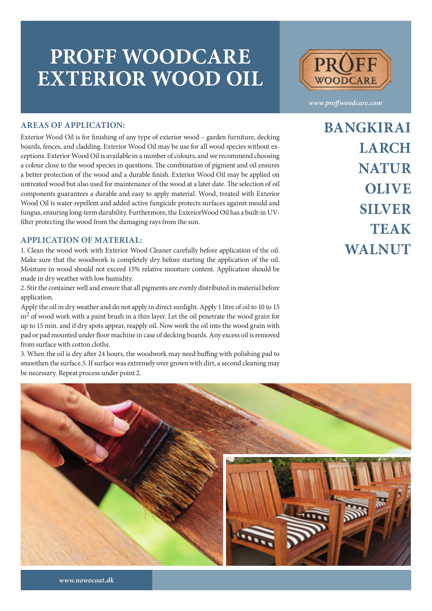## **PROFF WOODCARE EXTERIOR WOOD OIL**



*www.proffwoodcare.com*

#### **AREAS OF APPLICATION:**

Exterior Wood Oil is for finishing of any type of exterior wood – garden furniture, decking boards, fences, and cladding. Exterior Wood Oil may be use for all wood species without exceptions. Exterior Wood Oil is available in a number of colours, and we recommend choosing a colour close to the wood species in questions. The combination of pigment and oil ensures a better protection of the wood and a durable finish. Exterior Wood Oil may be applied on untreated wood but also used for maintenance of the wood at a later date. The selection of oil components guarantees a durable and easy to apply material. Wood, treated with Exterior Wood Oil is water-repellent and added active fungicide protects surfaces against mould and fungus, ensuring long-term durability. Furthermore, the ExteriorWood Oil has a built-in UVfilter protecting the wood from the damaging rays from the sun.

#### **APPLICATION OF MATERIAL:**

1. Clean the wood work with Exterior Wood Cleaner carefully before application of the oil. Make sure that the woodwork is completely dry before starting the application of the oil. Moisture in wood should not exceed 15% relative moisture content. Application should be made in dry weather with low humidity.

2. Stir the container well and ensure that all pigments are evenly distributed in material before application.

Apply the oil in dry weather and do not apply in direct sunlight. Apply 1 litre of oil to 10 to 15 m<sup>2</sup> of wood work with a paint brush in a thin layer. Let the oil penetrate the wood grain for up to 15 min. and if dry spots appear, reapply oil. Now work the oil into the wood grain with pad or pad mounted under floor machine in case of decking boards. Any excess oil is removed from surface with cotton cloths.

3. When the oil is dry after 24 hours, the woodwork may need buffing with polishing pad to smoothen the surface.5. If surface was extremely over grown with dirt, a second cleaning may be necessary. Repeat process under point 2.

**BANGKIRAI LARCH NATUR OLIVE SILVER TEAK WALNUT**